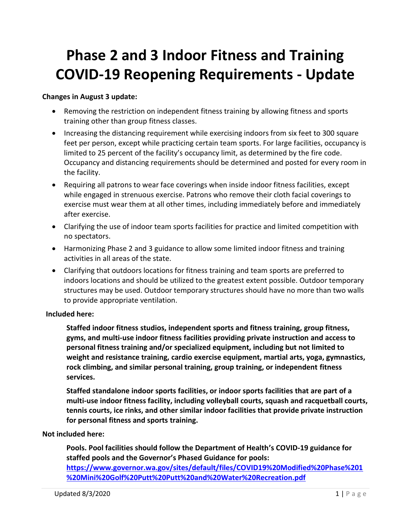# **Phase 2 and 3 Indoor Fitness and Training COVID-19 Reopening Requirements - Update**

#### **Changes in August 3 update:**

- Removing the restriction on independent fitness training by allowing fitness and sports training other than group fitness classes.
- Increasing the distancing requirement while exercising indoors from six feet to 300 square feet per person, except while practicing certain team sports. For large facilities, occupancy is limited to 25 percent of the facility's occupancy limit, as determined by the fire code. Occupancy and distancing requirements should be determined and posted for every room in the facility.
- Requiring all patrons to wear face coverings when inside indoor fitness facilities, except while engaged in strenuous exercise. Patrons who remove their cloth facial coverings to exercise must wear them at all other times, including immediately before and immediately after exercise.
- Clarifying the use of indoor team sports facilities for practice and limited competition with no spectators.
- Harmonizing Phase 2 and 3 guidance to allow some limited indoor fitness and training activities in all areas of the state.
- Clarifying that outdoors locations for fitness training and team sports are preferred to indoors locations and should be utilized to the greatest extent possible. Outdoor temporary structures may be used. Outdoor temporary structures should have no more than two walls to provide appropriate ventilation.

#### **Included here:**

**Staffed indoor fitness studios, independent sports and fitness training, group fitness, gyms, and multi-use indoor fitness facilities providing private instruction and access to personal fitness training and/or specialized equipment, including but not limited to weight and resistance training, cardio exercise equipment, martial arts, yoga, gymnastics, rock climbing, and similar personal training, group training, or independent fitness services.**

**Staffed standalone indoor sports facilities, or indoor sports facilities that are part of a multi-use indoor fitness facility, including volleyball courts, squash and racquetball courts, tennis courts, ice rinks, and other similar indoor facilities that provide private instruction for personal fitness and sports training.**

#### **Not included here:**

**Pools. Pool facilities should follow the Department of Health's COVID-19 guidance for staffed pools and the Governor's Phased Guidance for pools: [https://www.governor.wa.gov/sites/default/files/COVID19%20Modified%20Phase%201](https://www.governor.wa.gov/sites/default/files/COVID19%20Modified%20Phase%201%20Mini%20Golf%20Putt%20Putt%20and%20Water%20Recreation.pdf) [%20Mini%20Golf%20Putt%20Putt%20and%20Water%20Recreation.pdf](https://www.governor.wa.gov/sites/default/files/COVID19%20Modified%20Phase%201%20Mini%20Golf%20Putt%20Putt%20and%20Water%20Recreation.pdf)**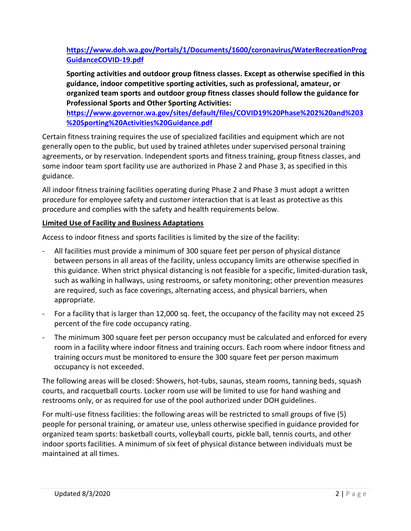# **[https://www.doh.wa.gov/Portals/1/Documents/1600/coronavirus/WaterRecreationProg](https://www.doh.wa.gov/Portals/1/Documents/1600/coronavirus/WaterRecreationProgGuidanceCOVID-19.pdf) [GuidanceCOVID-19.pdf](https://www.doh.wa.gov/Portals/1/Documents/1600/coronavirus/WaterRecreationProgGuidanceCOVID-19.pdf)**

**Sporting activities and outdoor group fitness classes. Except as otherwise specified in this guidance, indoor competitive sporting activities, such as professional, amateur, or organized team sports and outdoor group fitness classes should follow the guidance for Professional Sports and Other Sporting Activities:** 

**[https://www.governor.wa.gov/sites/default/files/COVID19%20Phase%202%20and%203](https://www.governor.wa.gov/sites/default/files/COVID19%20Phase%202%20and%203%20Sporting%20Activities%20Guidance.pdf) [%20Sporting%20Activities%20Guidance.pdf](https://www.governor.wa.gov/sites/default/files/COVID19%20Phase%202%20and%203%20Sporting%20Activities%20Guidance.pdf)**

Certain fitness training requires the use of specialized facilities and equipment which are not generally open to the public, but used by trained athletes under supervised personal training agreements, or by reservation. Independent sports and fitness training, group fitness classes, and some indoor team sport facility use are authorized in Phase 2 and Phase 3, as specified in this guidance.

All indoor fitness training facilities operating during Phase 2 and Phase 3 must adopt a written procedure for employee safety and customer interaction that is at least as protective as this procedure and complies with the safety and health requirements below.

# **Limited Use of Facility and Business Adaptations**

Access to indoor fitness and sports facilities is limited by the size of the facility:

- All facilities must provide a minimum of 300 square feet per person of physical distance between persons in all areas of the facility, unless occupancy limits are otherwise specified in this guidance. When strict physical distancing is not feasible for a specific, limited-duration task, such as walking in hallways, using restrooms, or safety monitoring; other prevention measures are required, such as face coverings, alternating access, and physical barriers, when appropriate.
- For a facility that is larger than 12,000 sq. feet, the occupancy of the facility may not exceed 25 percent of the fire code occupancy rating.
- The minimum 300 square feet per person occupancy must be calculated and enforced for every room in a facility where indoor fitness and training occurs. Each room where indoor fitness and training occurs must be monitored to ensure the 300 square feet per person maximum occupancy is not exceeded.

The following areas will be closed: Showers, hot-tubs, saunas, steam rooms, tanning beds, squash courts, and racquetball courts. Locker room use will be limited to use for hand washing and restrooms only, or as required for use of the pool authorized under DOH guidelines.

For multi-use fitness facilities: the following areas will be restricted to small groups of five (5) people for personal training, or amateur use, unless otherwise specified in guidance provided for organized team sports: basketball courts, volleyball courts, pickle ball, tennis courts, and other indoor sports facilities. A minimum of six feet of physical distance between individuals must be maintained at all times.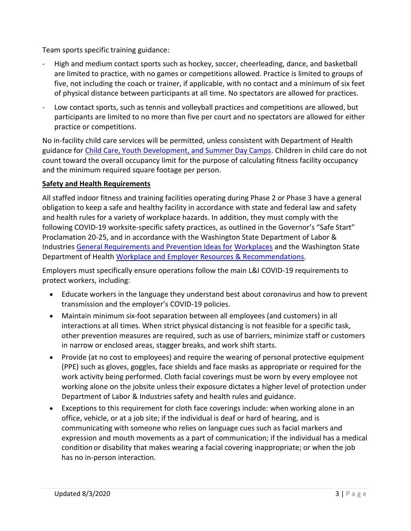Team sports specific training guidance:

- High and medium contact sports such as hockey, soccer, cheerleading, dance, and basketball are limited to practice, with no games or competitions allowed. Practice is limited to groups of five, not including the coach or trainer, if applicable, with no contact and a minimum of six feet of physical distance between participants at all time. No spectators are allowed for practices.
- Low contact sports, such as tennis and volleyball practices and competitions are allowed, but participants are limited to no more than five per court and no spectators are allowed for either practice or competitions.

No in-facility child care services will be permitted, unless consistent with Department of Health guidance fo[r Child Care, Youth Development, and Summer Day Camps.](https://www.doh.wa.gov/Portals/1/Documents/1600/coronavirus/DOH-OSPI-DYCF-SchoolsChildCareGuidance.pdf) Children in child care do not count toward the overall occupancy limit for the purpose of calculating fitness facility occupancy and the minimum required square footage per person.

# **Safety and Health Requirements**

All staffed indoor fitness and training facilities operating during Phase 2 or Phase 3 have a general obligation to keep a safe and healthy facility in accordance with state and federal law and safety and health rules for a variety of workplace hazards. In addition, they must comply with the following COVID-19 worksite-specific safety practices, as outlined in the Governor's "Safe Start" Proclamation 20-25, and in accordance with the Washington State Department of Labor & Industries [General Requirements and Prevention Ideas for](https://www.lni.wa.gov/forms-publications/f414-169-000.pdf) [Workplaces](https://www.lni.wa.gov/forms-publications/f414-169-000.pdf) and the Washington State Department of Health [Workplace and Employer Resources & Recommendations.](https://www.doh.wa.gov/Coronavirus/workplace)

Employers must specifically ensure operations follow the main L&I COVID-19 requirements to protect workers, including:

- Educate workers in the language they understand best about coronavirus and how to prevent transmission and the employer's COVID-19 policies.
- Maintain minimum six-foot separation between all employees (and customers) in all interactions at all times. When strict physical distancing is not feasible for a specific task, other prevention measures are required, such as use of barriers, minimize staff or customers in narrow or enclosed areas, stagger breaks, and work shift starts.
- Provide (at no cost to employees) and require the wearing of personal protective equipment (PPE) such as gloves, goggles, face shields and face masks as appropriate or required for the work activity being performed. Cloth facial coverings must be worn by every employee not working alone on the jobsite unless their exposure dictates a higher level of protection under Department of Labor & Industries safety and health rules and guidance.
- Exceptions to this requirement for cloth face coverings include: when working alone in an office, vehicle, or at a job site; if the individual is deaf or hard of hearing, and is communicating with someone who relies on language cues such as facial markers and expression and mouth movements as a part of communication; if the individual has a medical condition or disability that makes wearing a facial covering inappropriate; or when the job has no in-person interaction.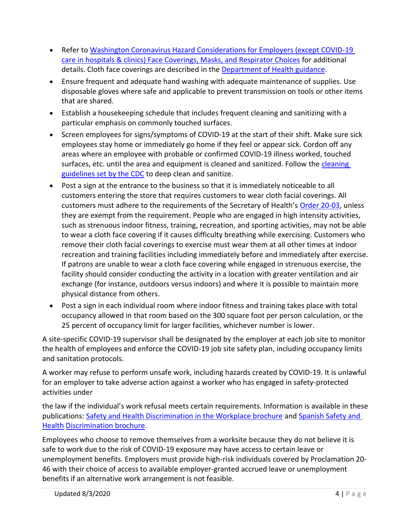- Refer to [Washington Coronavirus Hazard Considerations for Employers \(except COVID-19](https://www.lni.wa.gov/agency/_docs/wacoronavirushazardconsiderationsemployers.pdf)  [care in hospitals & clinics\) Face Coverings, Masks, and Respirator Choices](https://www.lni.wa.gov/agency/_docs/wacoronavirushazardconsiderationsemployers.pdf) for additional details. Cloth face coverings are described in the [Department of Health guidance.](http://www.doh.wa.gov/Portals/1/Documents/1600/coronavirus/ClothFacemasks.pdf)
- Ensure frequent and adequate hand washing with adequate maintenance of supplies. Use disposable gloves where safe and applicable to prevent transmission on tools or other items that are shared.
- Establish a housekeeping schedule that includes frequent cleaning and sanitizing with a particular emphasis on commonly touched surfaces.
- Screen employees for signs/symptoms of COVID-19 at the start of their shift. Make sure sick employees stay home or immediately go home if they feel or appear sick. Cordon off any areas where an employee with probable or confirmed COVID-19 illness worked, touched surfaces, etc. until the area and equipment is cleaned and sanitized. Follow the cleaning [guidelines set by the CDC](https://www.cdc.gov/coronavirus/2019-ncov/community/disinfecting-building-facility.html) to deep clean and sanitize.
- Post a sign at the entrance to the business so that it is immediately noticeable to all customers entering the store that requires customers to wear cloth facial coverings. All customers must adhere to the requirements of the Secretary of Health's [Order 20-03,](https://www.doh.wa.gov/Portals/1/Documents/1600/coronavirus/Secretary_of_Health_Order_20-03_Statewide_Face_Coverings.pdf) unless they are exempt from the requirement. People who are engaged in high intensity activities, such as strenuous indoor fitness, training, recreation, and sporting activities, may not be able to wear a cloth face covering if it causes difficulty breathing while exercising. Customers who remove their cloth facial coverings to exercise must wear them at all other times at indoor recreation and training facilities including immediately before and immediately after exercise. If patrons are unable to wear a cloth face covering while engaged in strenuous exercise, the facility should consider conducting the activity in a location with greater ventilation and air exchange (for instance, outdoors versus indoors) and where it is possible to maintain more physical distance from others.
- Post a sign in each individual room where indoor fitness and training takes place with total occupancy allowed in that room based on the 300 square foot per person calculation, or the 25 percent of occupancy limit for larger facilities, whichever number is lower.

A site-specific COVID-19 supervisor shall be designated by the employer at each job site to monitor the health of employees and enforce the COVID-19 job site safety plan, including occupancy limits and sanitation protocols.

A worker may refuse to perform unsafe work, including hazards created by COVID-19. It is unlawful for an employer to take adverse action against a worker who has engaged in safety-protected activities under

the law if the individual's work refusal meets certain requirements. Information is available in these publications: [Safety and Health Discrimination in the Workplace brochure](https://lni.wa.gov/forms-publications/F417-244-000.pdf) and [Spanish Safety and](https://lni.wa.gov/forms-publications/f417-244-999.pdf)  **[Health](https://lni.wa.gov/forms-publications/f417-244-999.pdf) [Discrimination brochure.](https://lni.wa.gov/forms-publications/f417-244-999.pdf)** 

Employees who choose to remove themselves from a worksite because they do not believe it is safe to work due to the risk of COVID-19 exposure may have access to certain leave or unemployment benefits. Employers must provide high-risk individuals covered by Proclamation 20- 46 with their choice of access to available employer-granted accrued leave or unemployment benefits if an alternative work arrangement is not feasible.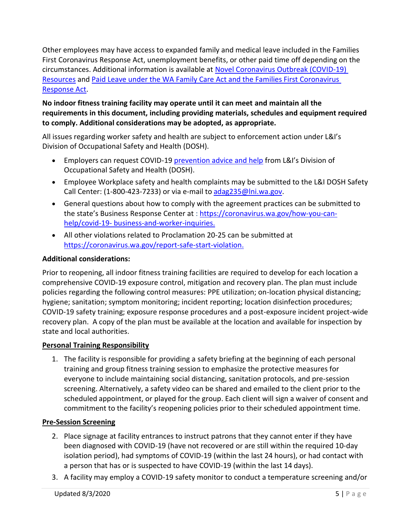Other employees may have access to expanded family and medical leave included in the Families First Coronavirus Response Act, unemployment benefits, or other paid time off depending on the circumstances. Additional information is available at [Novel Coronavirus Outbreak \(COVID-19\)](https://www.lni.wa.gov/agency/outreach/novel-coronavirus-outbreak-covid-19-resources)  [Resources](https://www.lni.wa.gov/agency/outreach/novel-coronavirus-outbreak-covid-19-resources) and [Paid Leave under the WA Family Care Act and the Families First Coronavirus](https://www.lni.wa.gov/agency/outreach/novel-coronavirus-outbreak-covid-19-resources)  [Response Act.](https://www.lni.wa.gov/agency/outreach/novel-coronavirus-outbreak-covid-19-resources)

# **No indoor fitness training facility may operate until it can meet and maintain all the requirements in this document, including providing materials, schedules and equipment required to comply. Additional considerations may be adopted, as appropriate.**

All issues regarding worker safety and health are subject to enforcement action under L&I's Division of Occupational Safety and Health (DOSH).

- Employers can request COVID-19 [prevention advice and help](https://lni.wa.gov/safety-health/preventing-injuries-illnesses/request-consultation/onsite-consultation) from L&I's Division of Occupational Safety and Health (DOSH).
- Employee Workplace safety and health complaints may be submitted to the L&I DOSH Safety Call Center: (1-800-423-7233) or via e-mail to [adag235@lni.wa.gov.](mailto:adag235@lni.wa.gov)
- General questions about how to comply with the agreement practices can be submitted to the state's Business Response Center at : [https://coronavirus.wa.gov/how-you-can](https://coronavirus.wa.gov/how-you-can-help/covid-19-business-and-worker-inquiries)[help/covid-19-](https://coronavirus.wa.gov/how-you-can-help/covid-19-business-and-worker-inquiries) [business-and-worker-inquiries.](https://coronavirus.wa.gov/how-you-can-help/covid-19-business-and-worker-inquiries)
- All other violations related to Proclamation 20-25 can be submitted at [https://coronavirus.wa.gov/report-safe-start-violation.](https://coronavirus.wa.gov/report-safe-start-violation)

# **Additional considerations:**

Prior to reopening, all indoor fitness training facilities are required to develop for each location a comprehensive COVID-19 exposure control, mitigation and recovery plan. The plan must include policies regarding the following control measures: PPE utilization; on-location physical distancing; hygiene; sanitation; symptom monitoring; incident reporting; location disinfection procedures; COVID-19 safety training; exposure response procedures and a post-exposure incident project-wide recovery plan. A copy of the plan must be available at the location and available for inspection by state and local authorities.

## **Personal Training Responsibility**

1. The facility is responsible for providing a safety briefing at the beginning of each personal training and group fitness training session to emphasize the protective measures for everyone to include maintaining social distancing, sanitation protocols, and pre-session screening. Alternatively, a safety video can be shared and emailed to the client prior to the scheduled appointment, or played for the group. Each client will sign a waiver of consent and commitment to the facility's reopening policies prior to their scheduled appointment time.

## **Pre-Session Screening**

- 2. Place signage at facility entrances to instruct patrons that they cannot enter if they have been diagnosed with COVID-19 (have not recovered or are still within the required 10-day isolation period), had symptoms of COVID-19 (within the last 24 hours), or had contact with a person that has or is suspected to have COVID-19 (within the last 14 days).
- 3. A facility may employ a COVID-19 safety monitor to conduct a temperature screening and/or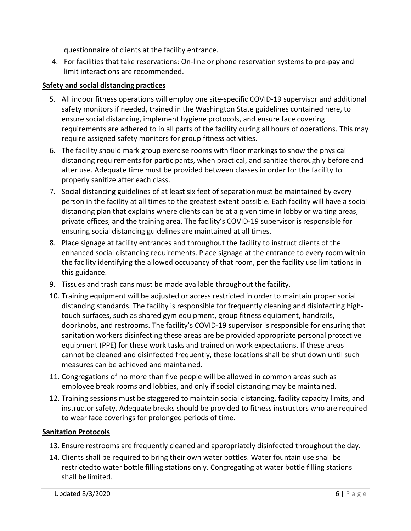questionnaire of clients at the facility entrance.

4. For facilities that take reservations: On-line or phone reservation systems to pre-pay and limit interactions are recommended.

# **Safety and social distancing practices**

- 5. All indoor fitness operations will employ one site-specific COVID-19 supervisor and additional safety monitors if needed, trained in the Washington State guidelines contained here, to ensure social distancing, implement hygiene protocols, and ensure face covering requirements are adhered to in all parts of the facility during all hours of operations. This may require assigned safety monitors for group fitness activities.
- 6. The facility should mark group exercise rooms with floor markings to show the physical distancing requirements for participants, when practical, and sanitize thoroughly before and after use. Adequate time must be provided between classes in order for the facility to properly sanitize after each class.
- 7. Social distancing guidelines of at least six feet of separationmust be maintained by every person in the facility at all times to the greatest extent possible. Each facility will have a social distancing plan that explains where clients can be at a given time in lobby or waiting areas, private offices, and the training area. The facility's COVID-19 supervisor is responsible for ensuring social distancing guidelines are maintained at all times.
- 8. Place signage at facility entrances and throughout the facility to instruct clients of the enhanced social distancing requirements. Place signage at the entrance to every room within the facility identifying the allowed occupancy of that room, per the facility use limitations in this guidance.
- 9. Tissues and trash cans must be made available throughout the facility.
- 10. Training equipment will be adjusted or access restricted in order to maintain proper social distancing standards. The facility is responsible for frequently cleaning and disinfecting hightouch surfaces, such as shared gym equipment, group fitness equipment, handrails, doorknobs, and restrooms. The facility's COVID-19 supervisor is responsible for ensuring that sanitation workers disinfecting these areas are be provided appropriate personal protective equipment (PPE) for these work tasks and trained on work expectations. If these areas cannot be cleaned and disinfected frequently, these locations shall be shut down until such measures can be achieved and maintained.
- 11. Congregations of no more than five people will be allowed in common areas such as employee break rooms and lobbies, and only if social distancing may be maintained.
- 12. Training sessions must be staggered to maintain social distancing, facility capacity limits, and instructor safety. Adequate breaks should be provided to fitness instructors who are required to wear face coverings for prolonged periods of time.

## **Sanitation Protocols**

- 13. Ensure restrooms are frequently cleaned and appropriately disinfected throughout the day.
- 14. Clients shall be required to bring their own water bottles. Water fountain use shall be restrictedto water bottle filling stations only. Congregating at water bottle filling stations shall be limited.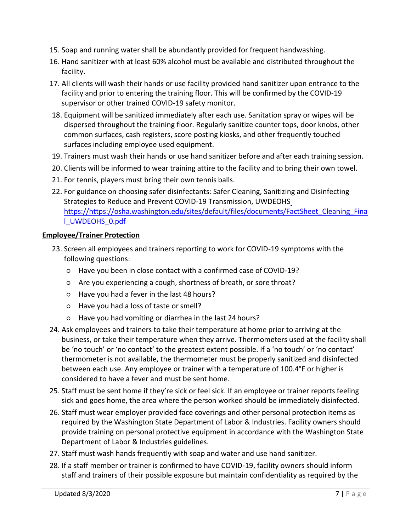- 15. Soap and running water shall be abundantly provided for frequent handwashing.
- 16. Hand sanitizer with at least 60% alcohol must be available and distributed throughout the facility.
- 17. All clients will wash their hands or use facility provided hand sanitizer upon entrance to the facility and prior to entering the training floor. This will be confirmed by the COVID-19 supervisor or other trained COVID-19 safety monitor.
- 18. Equipment will be sanitized immediately after each use. Sanitation spray or wipes will be dispersed throughout the training floor. Regularly sanitize counter tops, door knobs, other common surfaces, cash registers, score posting kiosks, and other frequently touched surfaces including employee used equipment.
- 19. Trainers must wash their hands or use hand sanitizer before and after each training session.
- 20. Clients will be informed to wear training attire to the facility and to bring their own towel.
- 21. For tennis, players must bring their own tennis balls.
- 22. For guidance on choosing safer disinfectants: Safer Cleaning, Sanitizing and Disinfecting Strategies to Reduce and Prevent COVID-19 Transmission, UWDEOH[S](https://) <https://>[https://osha.washington.edu/sites/default/files/documents/FactSheet\\_Cleaning\\_Fina](https://osha.washington.edu/sites/default/files/documents/FactSheet_Cleaning_Final_UWDEOHS_0.pdf) [l\\_UWDEOHS\\_0.pdf](https://osha.washington.edu/sites/default/files/documents/FactSheet_Cleaning_Final_UWDEOHS_0.pdf)

## **Employee/Trainer Protection**

- 23. Screen all employees and trainers reporting to work for COVID-19 symptoms with the following questions:
	- Have you been in close contact with a confirmed case of COVID-19?
	- Are you experiencing a cough, shortness of breath, or sore throat?
	- Have you had a fever in the last 48 hours?
	- Have you had a loss of taste orsmell?
	- Have you had vomiting or diarrhea in the last 24 hours?
- 24. Ask employees and trainers to take their temperature at home prior to arriving at the business, or take their temperature when they arrive. Thermometers used at the facility shall be 'no touch' or 'no contact' to the greatest extent possible. If a 'no touch' or 'no contact' thermometer is not available, the thermometer must be properly sanitized and disinfected between each use. Any employee or trainer with a temperature of 100.4°F or higher is considered to have a fever and must be sent home.
- 25. Staff must be sent home if they're sick or feel sick. If an employee or trainer reports feeling sick and goes home, the area where the person worked should be immediately disinfected.
- 26. Staff must wear employer provided face coverings and other personal protection items as required by the Washington State Department of Labor & Industries. Facility owners should provide training on personal protective equipment in accordance with the Washington State Department of Labor & Industries guidelines.
- 27. Staff must wash hands frequently with soap and water and use hand sanitizer.
- 28. If a staff member or trainer is confirmed to have COVID-19, facility owners should inform staff and trainers of their possible exposure but maintain confidentiality as required by the